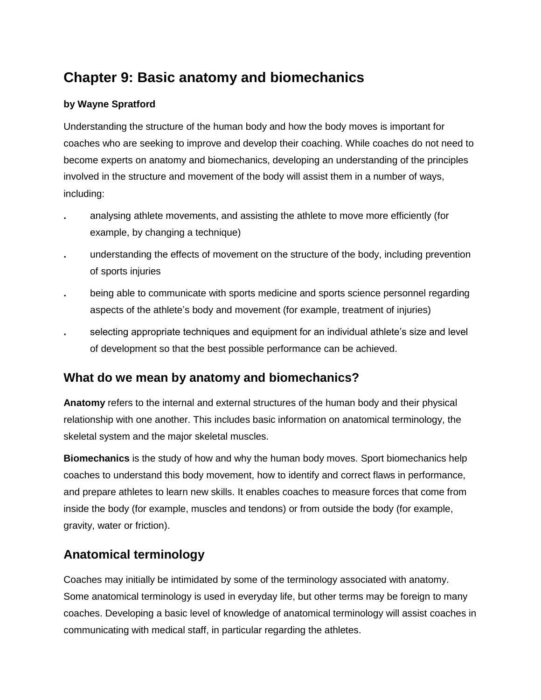# **Chapter 9: Basic anatomy and biomechanics**

## **by Wayne Spratford**

Understanding the structure of the human body and how the body moves is important for coaches who are seeking to improve and develop their coaching. While coaches do not need to become experts on anatomy and biomechanics, developing an understanding of the principles involved in the structure and movement of the body will assist them in a number of ways, including:

- **.** analysing athlete movements, and assisting the athlete to move more efficiently (for example, by changing a technique)
- **.** understanding the effects of movement on the structure of the body, including prevention of sports injuries
- **.** being able to communicate with sports medicine and sports science personnel regarding aspects of the athlete's body and movement (for example, treatment of injuries)
- **.** selecting appropriate techniques and equipment for an individual athlete's size and level of development so that the best possible performance can be achieved.

# **What do we mean by anatomy and biomechanics?**

**Anatomy** refers to the internal and external structures of the human body and their physical relationship with one another. This includes basic information on anatomical terminology, the skeletal system and the major skeletal muscles.

**Biomechanics** is the study of how and why the human body moves. Sport biomechanics help coaches to understand this body movement, how to identify and correct flaws in performance, and prepare athletes to learn new skills. It enables coaches to measure forces that come from inside the body (for example, muscles and tendons) or from outside the body (for example, gravity, water or friction).

# **Anatomical terminology**

Coaches may initially be intimidated by some of the terminology associated with anatomy. Some anatomical terminology is used in everyday life, but other terms may be foreign to many coaches. Developing a basic level of knowledge of anatomical terminology will assist coaches in communicating with medical staff, in particular regarding the athletes.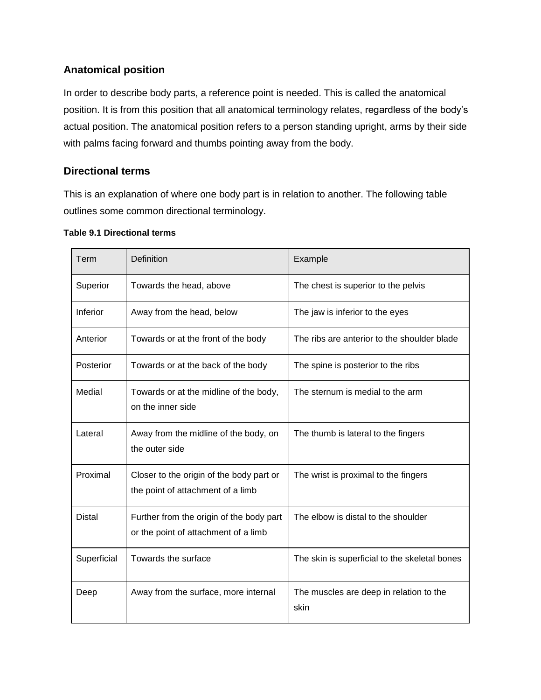## **Anatomical position**

In order to describe body parts, a reference point is needed. This is called the anatomical position. It is from this position that all anatomical terminology relates, regardless of the body's actual position. The anatomical position refers to a person standing upright, arms by their side with palms facing forward and thumbs pointing away from the body.

## **Directional terms**

This is an explanation of where one body part is in relation to another. The following table outlines some common directional terminology.

| Term          | Definition                                                                       | Example                                         |
|---------------|----------------------------------------------------------------------------------|-------------------------------------------------|
| Superior      | Towards the head, above                                                          | The chest is superior to the pelvis             |
| Inferior      | Away from the head, below                                                        | The jaw is inferior to the eyes                 |
| Anterior      | Towards or at the front of the body                                              | The ribs are anterior to the shoulder blade     |
| Posterior     | Towards or at the back of the body                                               | The spine is posterior to the ribs              |
| Medial        | Towards or at the midline of the body,<br>on the inner side                      | The sternum is medial to the arm                |
| Lateral       | Away from the midline of the body, on<br>the outer side                          | The thumb is lateral to the fingers             |
| Proximal      | Closer to the origin of the body part or<br>the point of attachment of a limb    | The wrist is proximal to the fingers            |
| <b>Distal</b> | Further from the origin of the body part<br>or the point of attachment of a limb | The elbow is distal to the shoulder             |
| Superficial   | Towards the surface                                                              | The skin is superficial to the skeletal bones   |
| Deep          | Away from the surface, more internal                                             | The muscles are deep in relation to the<br>skin |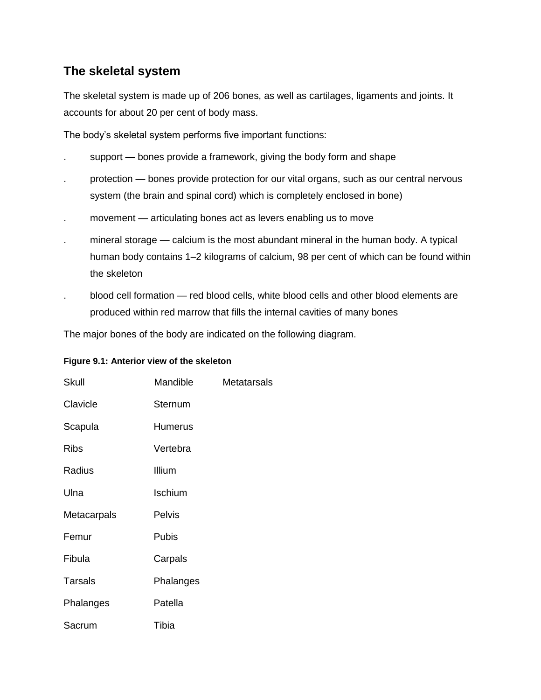# **The skeletal system**

The skeletal system is made up of 206 bones, as well as cartilages, ligaments and joints. It accounts for about 20 per cent of body mass.

The body's skeletal system performs five important functions:

- support bones provide a framework, giving the body form and shape
- protection bones provide protection for our vital organs, such as our central nervous system (the brain and spinal cord) which is completely enclosed in bone)
- . movement articulating bones act as levers enabling us to move
- . mineral storage calcium is the most abundant mineral in the human body. A typical human body contains 1–2 kilograms of calcium, 98 per cent of which can be found within the skeleton
- . blood cell formation red blood cells, white blood cells and other blood elements are produced within red marrow that fills the internal cavities of many bones

The major bones of the body are indicated on the following diagram.

#### **Figure 9.1: Anterior view of the skeleton**

| <b>Skull</b>   | Mandible       | <b>Metatarsals</b> |
|----------------|----------------|--------------------|
| Clavicle       | Sternum        |                    |
| Scapula        | <b>Humerus</b> |                    |
| Ribs           | Vertebra       |                    |
| Radius         | Illium         |                    |
| Ulna           | Ischium        |                    |
| Metacarpals    | Pelvis         |                    |
| Femur          | Pubis          |                    |
| Fibula         | Carpals        |                    |
| <b>Tarsals</b> | Phalanges      |                    |
| Phalanges      | Patella        |                    |
| Sacrum         | Tibia          |                    |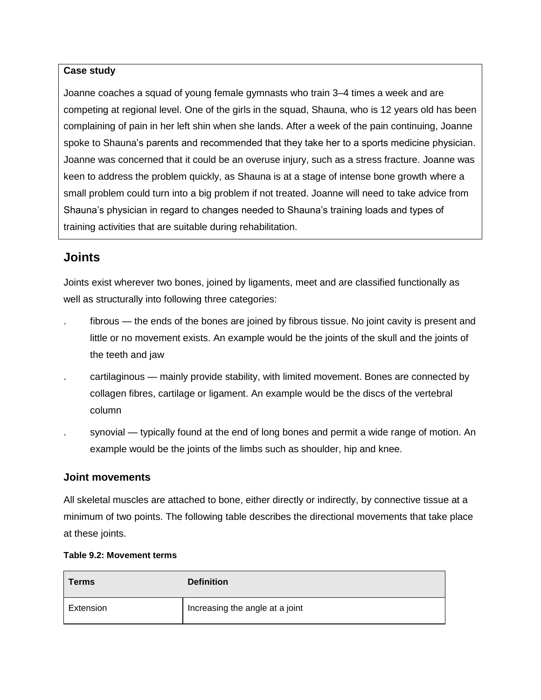### **Case study**

Joanne coaches a squad of young female gymnasts who train 3–4 times a week and are competing at regional level. One of the girls in the squad, Shauna, who is 12 years old has been complaining of pain in her left shin when she lands. After a week of the pain continuing, Joanne spoke to Shauna's parents and recommended that they take her to a sports medicine physician. Joanne was concerned that it could be an overuse injury, such as a stress fracture. Joanne was keen to address the problem quickly, as Shauna is at a stage of intense bone growth where a small problem could turn into a big problem if not treated. Joanne will need to take advice from Shauna's physician in regard to changes needed to Shauna's training loads and types of training activities that are suitable during rehabilitation.

## **Joints**

Joints exist wherever two bones, joined by ligaments, meet and are classified functionally as well as structurally into following three categories:

- fibrous the ends of the bones are joined by fibrous tissue. No joint cavity is present and little or no movement exists. An example would be the joints of the skull and the joints of the teeth and jaw
- . cartilaginous mainly provide stability, with limited movement. Bones are connected by collagen fibres, cartilage or ligament. An example would be the discs of the vertebral column
- synovial typically found at the end of long bones and permit a wide range of motion. An example would be the joints of the limbs such as shoulder, hip and knee.

## **Joint movements**

All skeletal muscles are attached to bone, either directly or indirectly, by connective tissue at a minimum of two points. The following table describes the directional movements that take place at these joints.

#### **Table 9.2: Movement terms**

| <b>Terms</b> | <b>Definition</b>               |
|--------------|---------------------------------|
| Extension    | Increasing the angle at a joint |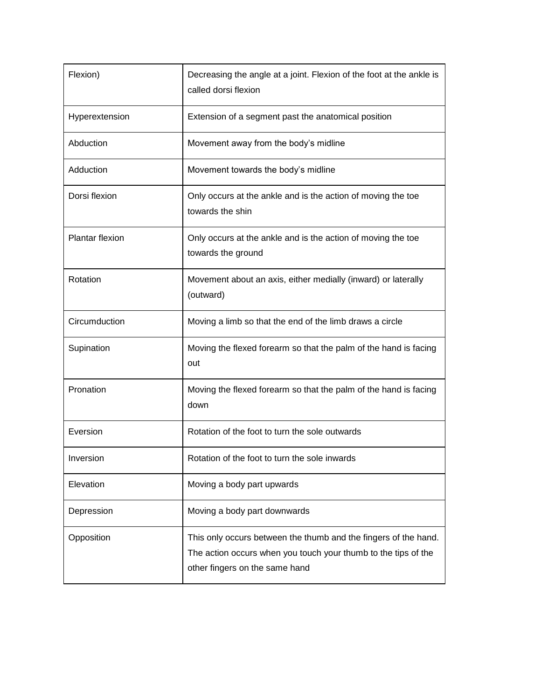| Flexion)               | Decreasing the angle at a joint. Flexion of the foot at the ankle is<br>called dorsi flexion                                                                        |  |
|------------------------|---------------------------------------------------------------------------------------------------------------------------------------------------------------------|--|
| Hyperextension         | Extension of a segment past the anatomical position                                                                                                                 |  |
| Abduction              | Movement away from the body's midline                                                                                                                               |  |
| Adduction              | Movement towards the body's midline                                                                                                                                 |  |
| Dorsi flexion          | Only occurs at the ankle and is the action of moving the toe<br>towards the shin                                                                                    |  |
| <b>Plantar flexion</b> | Only occurs at the ankle and is the action of moving the toe<br>towards the ground                                                                                  |  |
| Rotation               | Movement about an axis, either medially (inward) or laterally<br>(outward)                                                                                          |  |
| Circumduction          | Moving a limb so that the end of the limb draws a circle                                                                                                            |  |
| Supination             | Moving the flexed forearm so that the palm of the hand is facing<br>out                                                                                             |  |
| Pronation              | Moving the flexed forearm so that the palm of the hand is facing<br>down                                                                                            |  |
| Eversion               | Rotation of the foot to turn the sole outwards                                                                                                                      |  |
| Inversion              | Rotation of the foot to turn the sole inwards                                                                                                                       |  |
| Elevation              | Moving a body part upwards                                                                                                                                          |  |
| Depression             | Moving a body part downwards                                                                                                                                        |  |
| Opposition             | This only occurs between the thumb and the fingers of the hand.<br>The action occurs when you touch your thumb to the tips of the<br>other fingers on the same hand |  |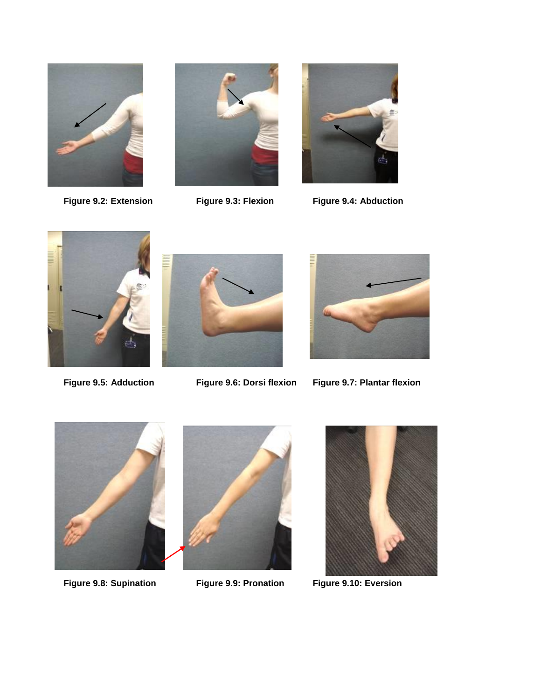





**Figure 9.2: Extension Figure 9.3: Flexion Figure 9.4: Abduction**







**Figure 9.5: Adduction Figure 9.6: Dorsi flexion Figure 9.7: Plantar flexion**



**Figure 9.8: Supination Figure 9.9: Pronation Figure 9.10: Eversion**



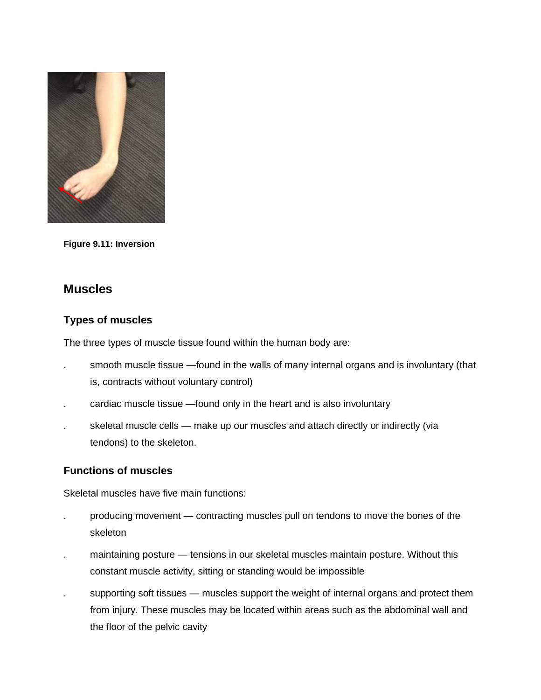

**Figure 9.11: Inversion**

## **Muscles**

## **Types of muscles**

The three types of muscle tissue found within the human body are:

- smooth muscle tissue —found in the walls of many internal organs and is involuntary (that is, contracts without voluntary control)
- . cardiac muscle tissue —found only in the heart and is also involuntary
- skeletal muscle cells make up our muscles and attach directly or indirectly (via tendons) to the skeleton.

## **Functions of muscles**

Skeletal muscles have five main functions:

- . producing movement contracting muscles pull on tendons to move the bones of the skeleton
- . maintaining posture tensions in our skeletal muscles maintain posture. Without this constant muscle activity, sitting or standing would be impossible
- supporting soft tissues muscles support the weight of internal organs and protect them from injury. These muscles may be located within areas such as the abdominal wall and the floor of the pelvic cavity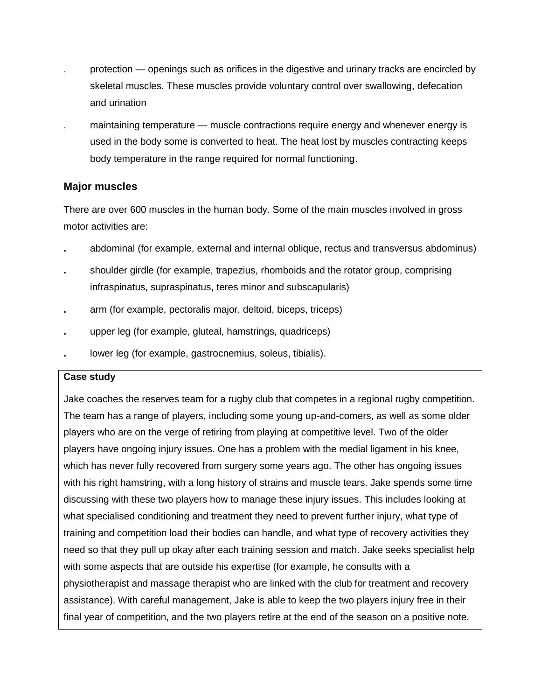- protection openings such as orifices in the digestive and urinary tracks are encircled by skeletal muscles. These muscles provide voluntary control over swallowing, defecation and urination
- . maintaining temperature muscle contractions require energy and whenever energy is used in the body some is converted to heat. The heat lost by muscles contracting keeps body temperature in the range required for normal functioning.

## **Major muscles**

There are over 600 muscles in the human body. Some of the main muscles involved in gross motor activities are:

- **.** abdominal (for example, external and internal oblique, rectus and transversus abdominus)
- **.** shoulder girdle (for example, trapezius, rhomboids and the rotator group, comprising infraspinatus, supraspinatus, teres minor and subscapularis)
- **.** arm (for example, pectoralis major, deltoid, biceps, triceps)
- **.** upper leg (for example, gluteal, hamstrings, quadriceps)
- **.** lower leg (for example, gastrocnemius, soleus, tibialis).

## **Case study**

Jake coaches the reserves team for a rugby club that competes in a regional rugby competition. The team has a range of players, including some young up-and-comers, as well as some older players who are on the verge of retiring from playing at competitive level. Two of the older players have ongoing injury issues. One has a problem with the medial ligament in his knee, which has never fully recovered from surgery some years ago. The other has ongoing issues with his right hamstring, with a long history of strains and muscle tears. Jake spends some time discussing with these two players how to manage these injury issues. This includes looking at what specialised conditioning and treatment they need to prevent further injury, what type of training and competition load their bodies can handle, and what type of recovery activities they need so that they pull up okay after each training session and match. Jake seeks specialist help with some aspects that are outside his expertise (for example, he consults with a physiotherapist and massage therapist who are linked with the club for treatment and recovery assistance). With careful management, Jake is able to keep the two players injury free in their final year of competition, and the two players retire at the end of the season on a positive note.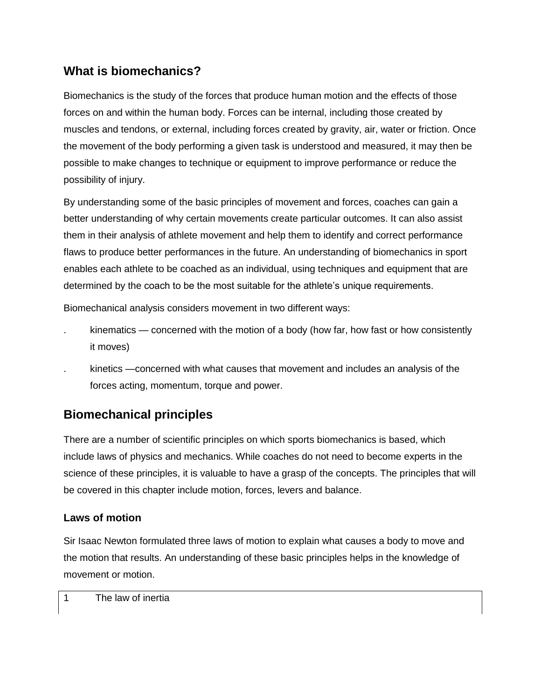# **What is biomechanics?**

Biomechanics is the study of the forces that produce human motion and the effects of those forces on and within the human body. Forces can be internal, including those created by muscles and tendons, or external, including forces created by gravity, air, water or friction. Once the movement of the body performing a given task is understood and measured, it may then be possible to make changes to technique or equipment to improve performance or reduce the possibility of injury.

By understanding some of the basic principles of movement and forces, coaches can gain a better understanding of why certain movements create particular outcomes. It can also assist them in their analysis of athlete movement and help them to identify and correct performance flaws to produce better performances in the future. An understanding of biomechanics in sport enables each athlete to be coached as an individual, using techniques and equipment that are determined by the coach to be the most suitable for the athlete's unique requirements.

Biomechanical analysis considers movement in two different ways:

- kinematics concerned with the motion of a body (how far, how fast or how consistently it moves)
- . kinetics —concerned with what causes that movement and includes an analysis of the forces acting, momentum, torque and power.

# **Biomechanical principles**

There are a number of scientific principles on which sports biomechanics is based, which include laws of physics and mechanics. While coaches do not need to become experts in the science of these principles, it is valuable to have a grasp of the concepts. The principles that will be covered in this chapter include motion, forces, levers and balance.

# **Laws of motion**

Sir Isaac Newton formulated three laws of motion to explain what causes a body to move and the motion that results. An understanding of these basic principles helps in the knowledge of movement or motion.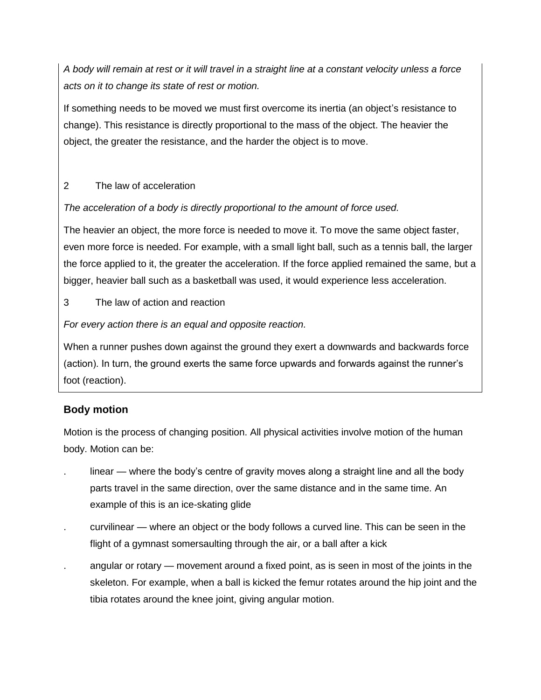*A body will remain at rest or it will travel in a straight line at a constant velocity unless a force acts on it to change its state of rest or motion.*

If something needs to be moved we must first overcome its inertia (an object's resistance to change). This resistance is directly proportional to the mass of the object. The heavier the object, the greater the resistance, and the harder the object is to move.

## 2 The law of acceleration

## *The acceleration of a body is directly proportional to the amount of force used.*

The heavier an object, the more force is needed to move it. To move the same object faster, even more force is needed. For example, with a small light ball, such as a tennis ball, the larger the force applied to it, the greater the acceleration. If the force applied remained the same, but a bigger, heavier ball such as a basketball was used, it would experience less acceleration.

3 The law of action and reaction

*For every action there is an equal and opposite reaction.*

When a runner pushes down against the ground they exert a downwards and backwards force (action). In turn, the ground exerts the same force upwards and forwards against the runner's foot (reaction).

## **Body motion**

Motion is the process of changing position. All physical activities involve motion of the human body. Motion can be:

- linear where the body's centre of gravity moves along a straight line and all the body parts travel in the same direction, over the same distance and in the same time. An example of this is an ice-skating glide
- . curvilinear where an object or the body follows a curved line. This can be seen in the flight of a gymnast somersaulting through the air, or a ball after a kick
- . angular or rotary movement around a fixed point, as is seen in most of the joints in the skeleton. For example, when a ball is kicked the femur rotates around the hip joint and the tibia rotates around the knee joint, giving angular motion.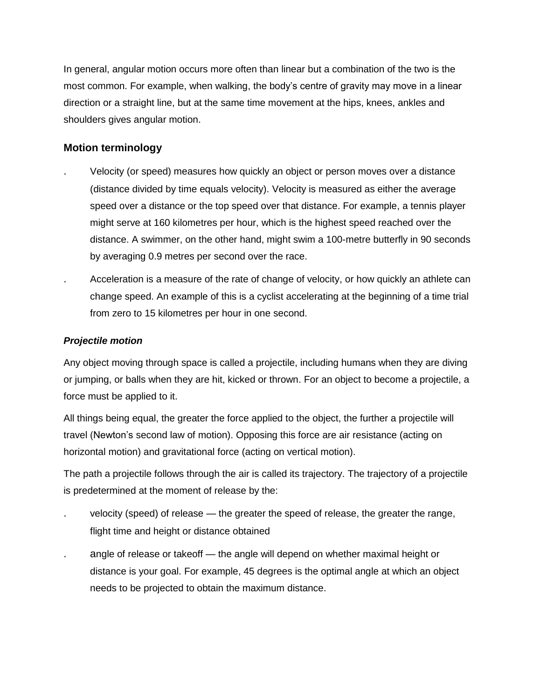In general, angular motion occurs more often than linear but a combination of the two is the most common. For example, when walking, the body's centre of gravity may move in a linear direction or a straight line, but at the same time movement at the hips, knees, ankles and shoulders gives angular motion.

## **Motion terminology**

- . Velocity (or speed) measures how quickly an object or person moves over a distance (distance divided by time equals velocity). Velocity is measured as either the average speed over a distance or the top speed over that distance. For example, a tennis player might serve at 160 kilometres per hour, which is the highest speed reached over the distance. A swimmer, on the other hand, might swim a 100-metre butterfly in 90 seconds by averaging 0.9 metres per second over the race.
- . Acceleration is a measure of the rate of change of velocity, or how quickly an athlete can change speed. An example of this is a cyclist accelerating at the beginning of a time trial from zero to 15 kilometres per hour in one second.

## *Projectile motion*

Any object moving through space is called a projectile, including humans when they are diving or jumping, or balls when they are hit, kicked or thrown. For an object to become a projectile, a force must be applied to it.

All things being equal, the greater the force applied to the object, the further a projectile will travel (Newton's second law of motion). Opposing this force are air resistance (acting on horizontal motion) and gravitational force (acting on vertical motion).

The path a projectile follows through the air is called its trajectory. The trajectory of a projectile is predetermined at the moment of release by the:

- . velocity (speed) of release the greater the speed of release, the greater the range, flight time and height or distance obtained
- . angle of release or takeoff the angle will depend on whether maximal height or distance is your goal. For example, 45 degrees is the optimal angle at which an object needs to be projected to obtain the maximum distance.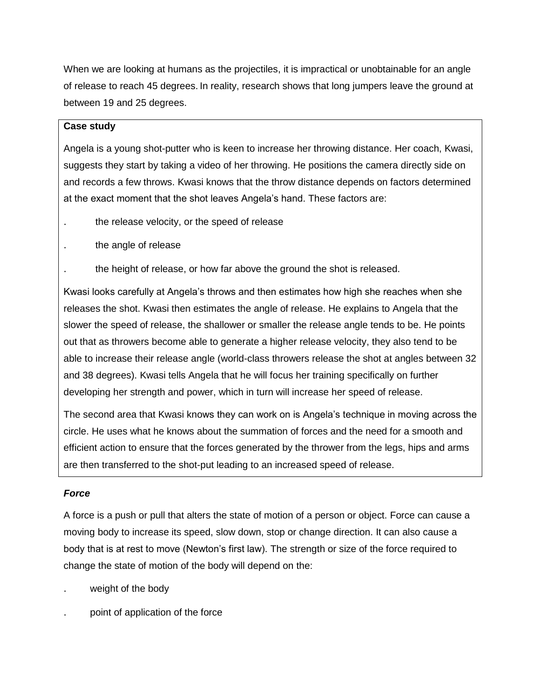When we are looking at humans as the projectiles, it is impractical or unobtainable for an angle of release to reach 45 degrees. In reality, research shows that long jumpers leave the ground at between 19 and 25 degrees.

#### **Case study**

Angela is a young shot-putter who is keen to increase her throwing distance. Her coach, Kwasi, suggests they start by taking a video of her throwing. He positions the camera directly side on and records a few throws. Kwasi knows that the throw distance depends on factors determined at the exact moment that the shot leaves Angela's hand. These factors are:

- . the release velocity, or the speed of release
- . the angle of release

the height of release, or how far above the ground the shot is released.

Kwasi looks carefully at Angela's throws and then estimates how high she reaches when she releases the shot. Kwasi then estimates the angle of release. He explains to Angela that the slower the speed of release, the shallower or smaller the release angle tends to be. He points out that as throwers become able to generate a higher release velocity, they also tend to be able to increase their release angle (world-class throwers release the shot at angles between 32 and 38 degrees). Kwasi tells Angela that he will focus her training specifically on further developing her strength and power, which in turn will increase her speed of release.

The second area that Kwasi knows they can work on is Angela's technique in moving across the circle. He uses what he knows about the summation of forces and the need for a smooth and efficient action to ensure that the forces generated by the thrower from the legs, hips and arms are then transferred to the shot-put leading to an increased speed of release.

#### *Force*

A force is a push or pull that alters the state of motion of a person or object. Force can cause a moving body to increase its speed, slow down, stop or change direction. It can also cause a body that is at rest to move (Newton's first law). The strength or size of the force required to change the state of motion of the body will depend on the:

- weight of the body
- point of application of the force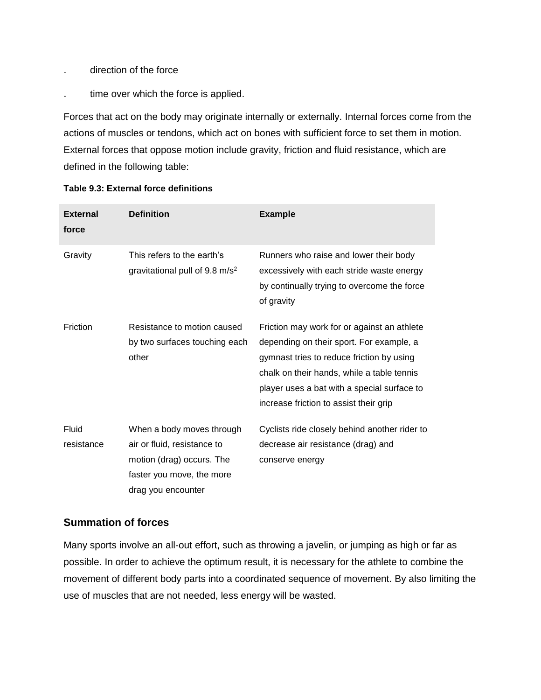- . direction of the force
- . time over which the force is applied.

Forces that act on the body may originate internally or externally. Internal forces come from the actions of muscles or tendons, which act on bones with sufficient force to set them in motion. External forces that oppose motion include gravity, friction and fluid resistance, which are defined in the following table:

| <b>External</b><br>force | <b>Definition</b>                                                                                                                        | <b>Example</b>                                                                                                                                                                                                                                                              |
|--------------------------|------------------------------------------------------------------------------------------------------------------------------------------|-----------------------------------------------------------------------------------------------------------------------------------------------------------------------------------------------------------------------------------------------------------------------------|
| Gravity                  | This refers to the earth's<br>gravitational pull of $9.8 \text{ m/s}^2$                                                                  | Runners who raise and lower their body<br>excessively with each stride waste energy<br>by continually trying to overcome the force<br>of gravity                                                                                                                            |
| Friction                 | Resistance to motion caused<br>by two surfaces touching each<br>other                                                                    | Friction may work for or against an athlete<br>depending on their sport. For example, a<br>gymnast tries to reduce friction by using<br>chalk on their hands, while a table tennis<br>player uses a bat with a special surface to<br>increase friction to assist their grip |
| Fluid<br>resistance      | When a body moves through<br>air or fluid, resistance to<br>motion (drag) occurs. The<br>faster you move, the more<br>drag you encounter | Cyclists ride closely behind another rider to<br>decrease air resistance (drag) and<br>conserve energy                                                                                                                                                                      |

#### **Table 9.3: External force definitions**

### **Summation of forces**

Many sports involve an all-out effort, such as throwing a javelin, or jumping as high or far as possible. In order to achieve the optimum result, it is necessary for the athlete to combine the movement of different body parts into a coordinated sequence of movement. By also limiting the use of muscles that are not needed, less energy will be wasted.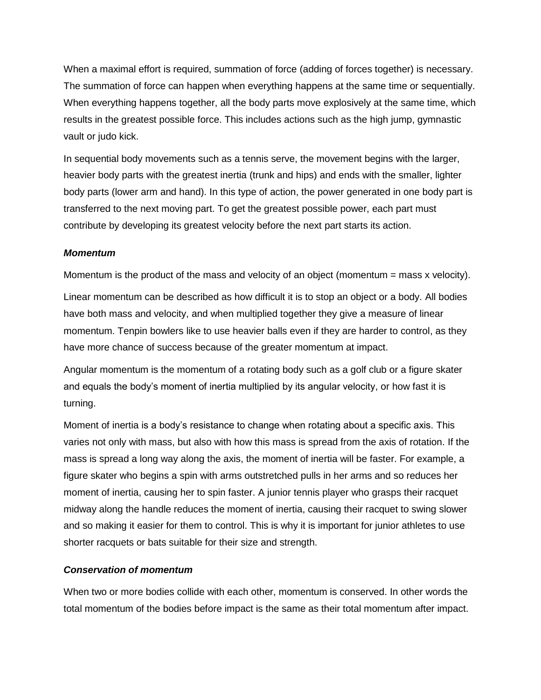When a maximal effort is required, summation of force (adding of forces together) is necessary. The summation of force can happen when everything happens at the same time or sequentially. When everything happens together, all the body parts move explosively at the same time, which results in the greatest possible force. This includes actions such as the high jump, gymnastic vault or judo kick.

In sequential body movements such as a tennis serve, the movement begins with the larger, heavier body parts with the greatest inertia (trunk and hips) and ends with the smaller, lighter body parts (lower arm and hand). In this type of action, the power generated in one body part is transferred to the next moving part. To get the greatest possible power, each part must contribute by developing its greatest velocity before the next part starts its action.

#### *Momentum*

Momentum is the product of the mass and velocity of an object (momentum = mass x velocity).

Linear momentum can be described as how difficult it is to stop an object or a body. All bodies have both mass and velocity, and when multiplied together they give a measure of linear momentum. Tenpin bowlers like to use heavier balls even if they are harder to control, as they have more chance of success because of the greater momentum at impact.

Angular momentum is the momentum of a rotating body such as a golf club or a figure skater and equals the body's moment of inertia multiplied by its angular velocity, or how fast it is turning.

Moment of inertia is a body's resistance to change when rotating about a specific axis. This varies not only with mass, but also with how this mass is spread from the axis of rotation. If the mass is spread a long way along the axis, the moment of inertia will be faster. For example, a figure skater who begins a spin with arms outstretched pulls in her arms and so reduces her moment of inertia, causing her to spin faster. A junior tennis player who grasps their racquet midway along the handle reduces the moment of inertia, causing their racquet to swing slower and so making it easier for them to control. This is why it is important for junior athletes to use shorter racquets or bats suitable for their size and strength.

#### *Conservation of momentum*

When two or more bodies collide with each other, momentum is conserved. In other words the total momentum of the bodies before impact is the same as their total momentum after impact.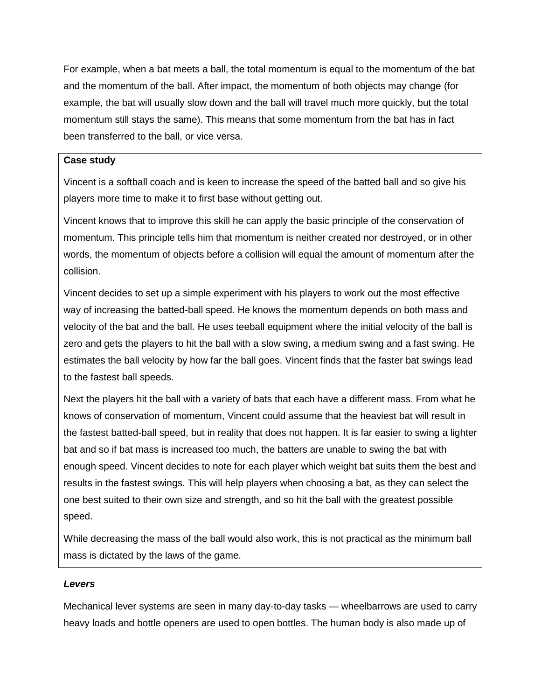For example, when a bat meets a ball, the total momentum is equal to the momentum of the bat and the momentum of the ball. After impact, the momentum of both objects may change (for example, the bat will usually slow down and the ball will travel much more quickly, but the total momentum still stays the same). This means that some momentum from the bat has in fact been transferred to the ball, or vice versa.

#### **Case study**

Vincent is a softball coach and is keen to increase the speed of the batted ball and so give his players more time to make it to first base without getting out.

Vincent knows that to improve this skill he can apply the basic principle of the conservation of momentum. This principle tells him that momentum is neither created nor destroyed, or in other words, the momentum of objects before a collision will equal the amount of momentum after the collision.

Vincent decides to set up a simple experiment with his players to work out the most effective way of increasing the batted-ball speed. He knows the momentum depends on both mass and velocity of the bat and the ball. He uses teeball equipment where the initial velocity of the ball is zero and gets the players to hit the ball with a slow swing, a medium swing and a fast swing. He estimates the ball velocity by how far the ball goes. Vincent finds that the faster bat swings lead to the fastest ball speeds.

Next the players hit the ball with a variety of bats that each have a different mass. From what he knows of conservation of momentum, Vincent could assume that the heaviest bat will result in the fastest batted-ball speed, but in reality that does not happen. It is far easier to swing a lighter bat and so if bat mass is increased too much, the batters are unable to swing the bat with enough speed. Vincent decides to note for each player which weight bat suits them the best and results in the fastest swings. This will help players when choosing a bat, as they can select the one best suited to their own size and strength, and so hit the ball with the greatest possible speed.

While decreasing the mass of the ball would also work, this is not practical as the minimum ball mass is dictated by the laws of the game.

#### *Levers*

Mechanical lever systems are seen in many day-to-day tasks — wheelbarrows are used to carry heavy loads and bottle openers are used to open bottles. The human body is also made up of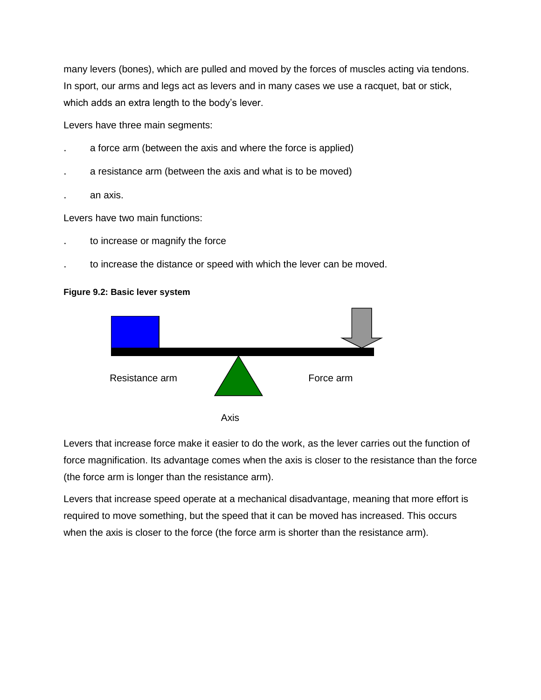many levers (bones), which are pulled and moved by the forces of muscles acting via tendons. In sport, our arms and legs act as levers and in many cases we use a racquet, bat or stick, which adds an extra length to the body's lever.

Levers have three main segments:

- . a force arm (between the axis and where the force is applied)
- . a resistance arm (between the axis and what is to be moved)
- . an axis.

Levers have two main functions:

- . to increase or magnify the force
- . to increase the distance or speed with which the lever can be moved.

#### **Figure 9.2: Basic lever system**



Levers that increase force make it easier to do the work, as the lever carries out the function of force magnification. Its advantage comes when the axis is closer to the resistance than the force (the force arm is longer than the resistance arm).

Levers that increase speed operate at a mechanical disadvantage, meaning that more effort is required to move something, but the speed that it can be moved has increased. This occurs when the axis is closer to the force (the force arm is shorter than the resistance arm).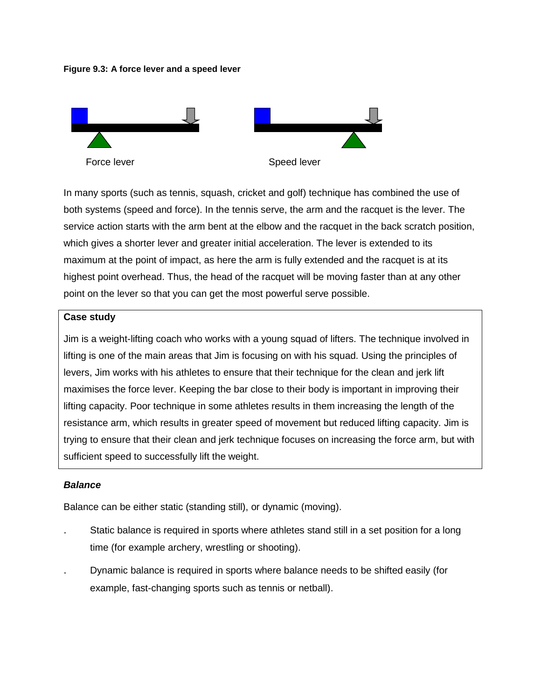#### **Figure 9.3: A force lever and a speed lever**



In many sports (such as tennis, squash, cricket and golf) technique has combined the use of both systems (speed and force). In the tennis serve, the arm and the racquet is the lever. The service action starts with the arm bent at the elbow and the racquet in the back scratch position, which gives a shorter lever and greater initial acceleration. The lever is extended to its maximum at the point of impact, as here the arm is fully extended and the racquet is at its highest point overhead. Thus, the head of the racquet will be moving faster than at any other point on the lever so that you can get the most powerful serve possible.

#### **Case study**

Jim is a weight-lifting coach who works with a young squad of lifters. The technique involved in lifting is one of the main areas that Jim is focusing on with his squad. Using the principles of levers, Jim works with his athletes to ensure that their technique for the clean and jerk lift maximises the force lever. Keeping the bar close to their body is important in improving their lifting capacity. Poor technique in some athletes results in them increasing the length of the resistance arm, which results in greater speed of movement but reduced lifting capacity. Jim is trying to ensure that their clean and jerk technique focuses on increasing the force arm, but with sufficient speed to successfully lift the weight.

#### *Balance*

Balance can be either static (standing still), or dynamic (moving).

- . Static balance is required in sports where athletes stand still in a set position for a long time (for example archery, wrestling or shooting).
- . Dynamic balance is required in sports where balance needs to be shifted easily (for example, fast-changing sports such as tennis or netball).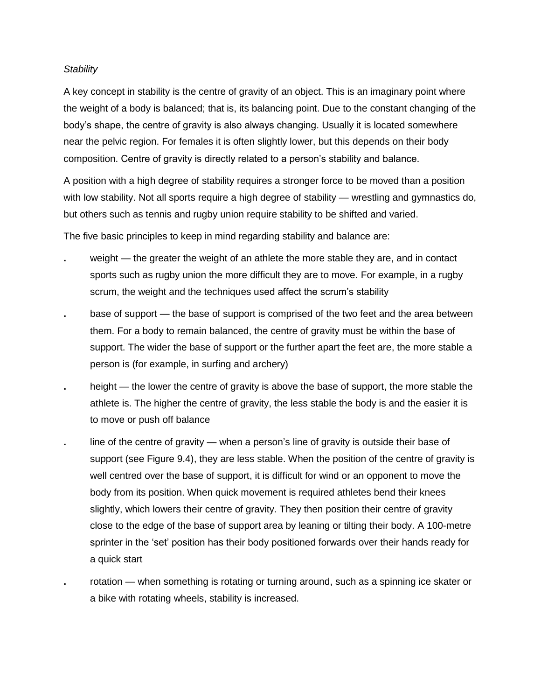#### *Stability*

A key concept in stability is the centre of gravity of an object. This is an imaginary point where the weight of a body is balanced; that is, its balancing point. Due to the constant changing of the body's shape, the centre of gravity is also always changing. Usually it is located somewhere near the pelvic region. For females it is often slightly lower, but this depends on their body composition. Centre of gravity is directly related to a person's stability and balance.

A position with a high degree of stability requires a stronger force to be moved than a position with low stability. Not all sports require a high degree of stability — wrestling and gymnastics do, but others such as tennis and rugby union require stability to be shifted and varied.

The five basic principles to keep in mind regarding stability and balance are:

- **.** weight the greater the weight of an athlete the more stable they are, and in contact sports such as rugby union the more difficult they are to move. For example, in a rugby scrum, the weight and the techniques used affect the scrum's stability
- **.** base of support the base of support is comprised of the two feet and the area between them. For a body to remain balanced, the centre of gravity must be within the base of support. The wider the base of support or the further apart the feet are, the more stable a person is (for example, in surfing and archery)
- **.** height the lower the centre of gravity is above the base of support, the more stable the athlete is. The higher the centre of gravity, the less stable the body is and the easier it is to move or push off balance
- **.** line of the centre of gravity when a person's line of gravity is outside their base of support (see Figure 9.4), they are less stable. When the position of the centre of gravity is well centred over the base of support, it is difficult for wind or an opponent to move the body from its position. When quick movement is required athletes bend their knees slightly, which lowers their centre of gravity. They then position their centre of gravity close to the edge of the base of support area by leaning or tilting their body. A 100-metre sprinter in the 'set' position has their body positioned forwards over their hands ready for a quick start
	- **.** rotation when something is rotating or turning around, such as a spinning ice skater or a bike with rotating wheels, stability is increased.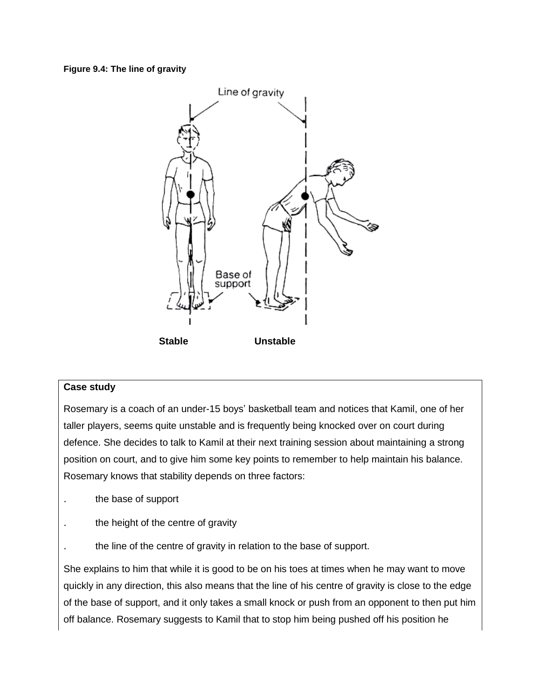#### **Figure 9.4: The line of gravity**



#### **Case study**

Rosemary is a coach of an under-15 boys' basketball team and notices that Kamil, one of her taller players, seems quite unstable and is frequently being knocked over on court during defence. She decides to talk to Kamil at their next training session about maintaining a strong position on court, and to give him some key points to remember to help maintain his balance. Rosemary knows that stability depends on three factors:

- . the base of support
- the height of the centre of gravity
- the line of the centre of gravity in relation to the base of support.

She explains to him that while it is good to be on his toes at times when he may want to move quickly in any direction, this also means that the line of his centre of gravity is close to the edge of the base of support, and it only takes a small knock or push from an opponent to then put him off balance. Rosemary suggests to Kamil that to stop him being pushed off his position he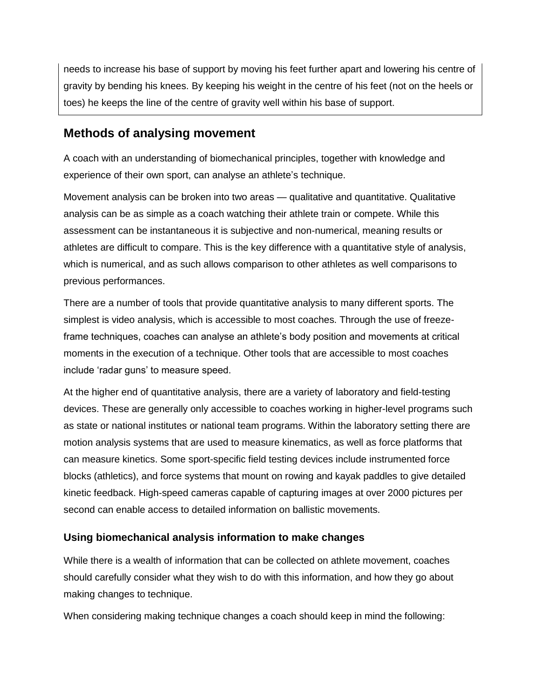needs to increase his base of support by moving his feet further apart and lowering his centre of gravity by bending his knees. By keeping his weight in the centre of his feet (not on the heels or toes) he keeps the line of the centre of gravity well within his base of support.

# **Methods of analysing movement**

A coach with an understanding of biomechanical principles, together with knowledge and experience of their own sport, can analyse an athlete's technique.

Movement analysis can be broken into two areas — qualitative and quantitative. Qualitative analysis can be as simple as a coach watching their athlete train or compete. While this assessment can be instantaneous it is subjective and non-numerical, meaning results or athletes are difficult to compare. This is the key difference with a quantitative style of analysis, which is numerical, and as such allows comparison to other athletes as well comparisons to previous performances.

There are a number of tools that provide quantitative analysis to many different sports. The simplest is video analysis, which is accessible to most coaches. Through the use of freezeframe techniques, coaches can analyse an athlete's body position and movements at critical moments in the execution of a technique. Other tools that are accessible to most coaches include 'radar guns' to measure speed.

At the higher end of quantitative analysis, there are a variety of laboratory and field-testing devices. These are generally only accessible to coaches working in higher-level programs such as state or national institutes or national team programs. Within the laboratory setting there are motion analysis systems that are used to measure kinematics, as well as force platforms that can measure kinetics. Some sport-specific field testing devices include instrumented force blocks (athletics), and force systems that mount on rowing and kayak paddles to give detailed kinetic feedback. High-speed cameras capable of capturing images at over 2000 pictures per second can enable access to detailed information on ballistic movements.

## **Using biomechanical analysis information to make changes**

While there is a wealth of information that can be collected on athlete movement, coaches should carefully consider what they wish to do with this information, and how they go about making changes to technique.

When considering making technique changes a coach should keep in mind the following: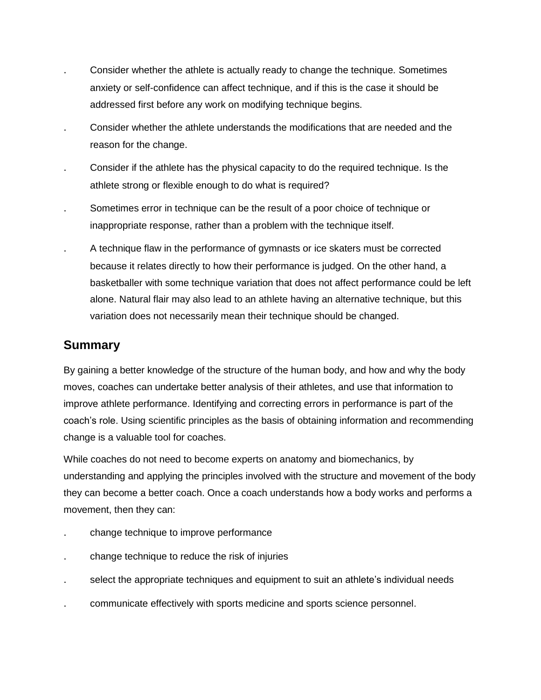- . Consider whether the athlete is actually ready to change the technique. Sometimes anxiety or self-confidence can affect technique, and if this is the case it should be addressed first before any work on modifying technique begins.
- . Consider whether the athlete understands the modifications that are needed and the reason for the change.
- . Consider if the athlete has the physical capacity to do the required technique. Is the athlete strong or flexible enough to do what is required?
- Sometimes error in technique can be the result of a poor choice of technique or inappropriate response, rather than a problem with the technique itself.
- . A technique flaw in the performance of gymnasts or ice skaters must be corrected because it relates directly to how their performance is judged. On the other hand, a basketballer with some technique variation that does not affect performance could be left alone. Natural flair may also lead to an athlete having an alternative technique, but this variation does not necessarily mean their technique should be changed.

# **Summary**

By gaining a better knowledge of the structure of the human body, and how and why the body moves, coaches can undertake better analysis of their athletes, and use that information to improve athlete performance. Identifying and correcting errors in performance is part of the coach's role. Using scientific principles as the basis of obtaining information and recommending change is a valuable tool for coaches.

While coaches do not need to become experts on anatomy and biomechanics, by understanding and applying the principles involved with the structure and movement of the body they can become a better coach. Once a coach understands how a body works and performs a movement, then they can:

- . change technique to improve performance
- . change technique to reduce the risk of injuries
- . select the appropriate techniques and equipment to suit an athlete's individual needs
- . communicate effectively with sports medicine and sports science personnel.